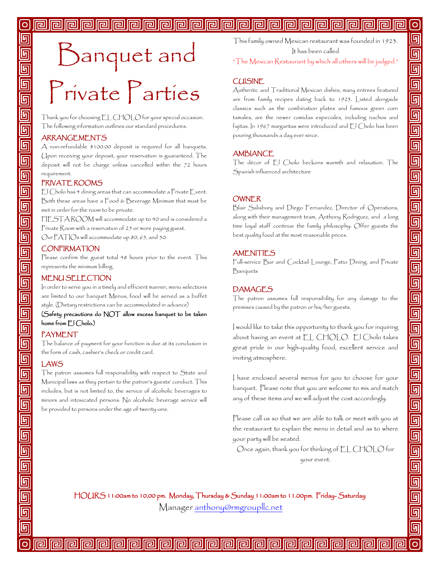#### **Property**

# Banquet and Private Parties

Thank you for choosing EL CHOLO for your special occasion. The following information outlines our standard procedures.

#### ARRANGEMENTS

A non-refundable \$100.00 deposit is required for all banquets. Upon receiving your deposit, your reservation is guaranteed. The deposit will not be charge unless cancelled within the 72 hours requirement.

#### PRIVATE ROOMS

El Cholo has 4 dining areas that can accommodate a Private Event. Both these areas have a Food & Beverage Minimum that must be met in order for the room to be private.

FIESTA ROOM will accommodate up to 40 and is considered a Private Room with a reservation of 25 or more paying guest. Our PATIOs will accommodate up 80, 65, and 50.

#### **CONFIRMATION**

Please confirm the guest total 48 hours prior to the event. This represents the minimum billing.

#### MENU SELECTION

In order to serve you in a timely and efficient manner, menu selections are limited to our banquet Menus, food will be served as a buffet style. (Dietary restrictions can be accommodated in advance)

(Safety precautions do NOT allow excess banquet to be taken home from El Cholo.)

#### PAYMENT

The balance of payment for your function is due at its conclusion in the form of cash, cashier's check or credit card.

#### LAWS

The patron assumes full responsibility with respect to State and Municipal laws as they pertain to the patron's guests' conduct. This includes, but is not limited to, the service of alcoholic beverages to minors and intoxicated persons. No alcoholic beverage service will be provided to persons under the age of twenty-one.

This family owned Mexican restaurant was founded in 1923. It has been called

回

呵

回

回

回

回

回

回

同

回

回

同

回

回

回

回

回

回

回

回

回

回

回

回

回

回

同

**G** 

呵

"The Mexican Restaurant by which all others will be judged."

#### CUISINE

Authentic and Traditional Mexican dishes, many entrees featured are from family recipes dating back to 1923. Listed alongside classics such as the combination plates and famous green corn tamales, are the newer comidas especiales, including nachos and fajitas. In 1967 margaritas were introduced and El Cholo has been pouring thousands a day ever since.

#### **AMBIANCE**

The décor of El Cholo beckons warmth and relaxation. The Spanish influenced architecture

#### **OWNER**

Blair Salisbury and Diego Fernandez, Director of Operations, along with their management team, Anthony Rodriguez, and a long time loyal staff continue the family philosophy: Offer guests the best quality food at the most reasonable prices.

#### **AMENITIES**

Full-service Bar and Cocktail Lounge, Patio Dining, and Private Banquets

#### DAMAGES

The patron assumes full responsibility for any damage to the premises caused by the patron or his/her guests.

I would like to take this opportunity to thank you for inquiring about having an event at EL CHOLO. El Cholo takes great pride in our high-quality food, excellent service and inviting atmosphere.

I have enclosed several menus for you to choose for your banquet. Please note that you are welcome to mix and match any of these items and we will adjust the cost accordingly.

Please call us so that we are able to talk or meet with you at the restaurant to explain the menu in detail and as to where your party will be seated.

Once again, thank you for thinking of EL CHOLO for your event.

HOURS 11:00am to 10.00 pm. Monday, Thursday & Sunday 11:00am to 11.00pm. Friday- Saturday

Manager [anthony@rmgroupllc.net](mailto:anthony@rmgroupllc.net)

**ral rai** 

lral

i.

ral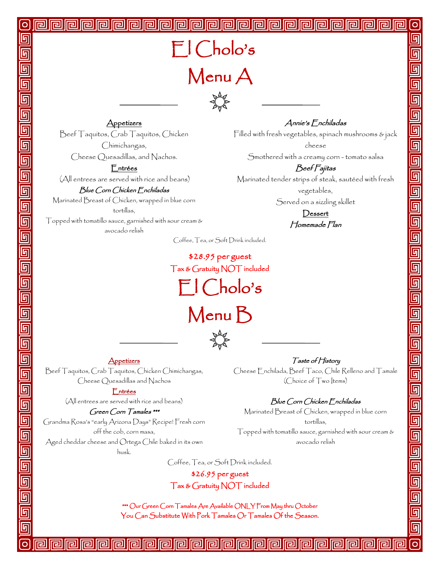**Appetizers** 

Beef Taquitos, Crab Taquitos, Chicken Chimichangas, Cheese Quesadillas, and Nachos.

#### Entrées

(All entrees are served with rice and beans)

#### Blue Corn Chicken Enchiladas

Marinated Breast of Chicken, wrapped in blue corn tortillas,

Topped with tomatillo sauce, garnished with sour cream & avocado relish

Annie's Enchiladas

回 回

<u>দ</u>

回

<u>দ</u>

<u>ត្</u>

回

回

回

미

回

回

呵

Filled with fresh vegetables, spinach mushrooms & jack cheese

Smothered with a creamy corn - tomato salsa

#### Beef Fajitas

Marinated tender strips of steak, sautéed with fresh vegetables,

Served on a sizzling skillet

**Dessert** Homemade Flan

Coffee, Tea, or Soft Drink included.

\$28.95 per guest Tax & Gratuity NOT included El Cholo's Menu B



Appetizers

Beef Taquitos, Crab Taquitos, Chicken Chimichangas, Cheese Quesadillas and Nachos

Entrées

(All entrees are served with rice and beans)

#### Green Corn Tamales \*\*\*

Grandma Rosa's "early Arizona Days" Recipe! Fresh corn off the cob, corn masa,

Aged cheddar cheese and Ortega Chile baked in its own husk.

Taste of History Cheese Enchilada, Beef Taco, Chile Relleno and Tamale (Choice of Two Items)

#### Blue Corn Chicken Enchiladas

Marinated Breast of Chicken, wrapped in blue corn tortillas, Topped with tomatillo sauce, garnished with sour cream & avocado relish

Coffee, Tea, or Soft Drink included.

\$26.95 per guest Tax & Gratuity NOT included

\*\*\* Our Green Corn Tamales Are Available ONLY From May thru October You Can Substitute With Pork Tamales Or Tamales Of the Season.

اهاالهاا

।।न्गि

冋

ral

न्गा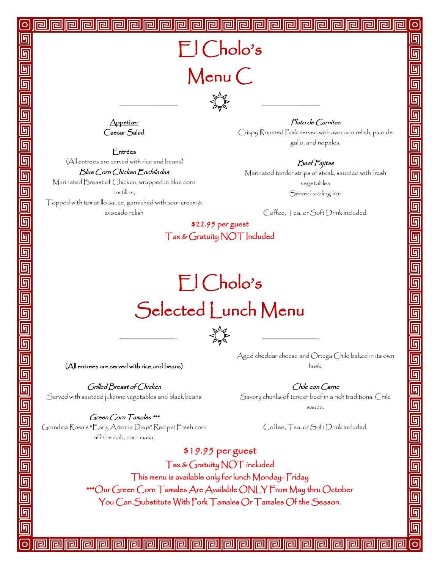## El Cholo's Menu C

囘



**Appetizer** Caesar Salad

Entrées

(All entrees are served with rice and beans)

Blue Corn Chicken Enchiladas

Marinated Breast of Chicken, wrapped in blue corn tortillas,

Topped with tomatillo sauce, garnished with sour cream & avocado relish

Plato de Carnitas

 $\circ$ 

呵

呵

呵

<u>দ</u>

<u>in</u>

回

回

回

<u>ন</u>

呵

<u>ត</u>

呵

 $\Omega$ 

Crispy Roasted Pork served with avocado relish, pico de gallo, and nopales.

#### Beef Fajitas

Marinated tender strips of steak, sautéed with fresh vegetables Served sizzling hot

Coffee, Tea, or Soft Drink included.

#### \$22.95 per guest Tax & Gratuity NOT Included

## El Cholo's Selected Lunch Menu



(All entrees are served with rice and beans)

Grilled Breast of Chicken Served with sautéed julienne vegetables and black beans

Green Corn Tamales \*\*\* Grandma Rosa's "Early Arizona Days" Recipe! Fresh corn off the cob, corn masa,

Aged cheddar cheese and Ortega Chile baked in its own husk.

Chile con Carne

Savory chunks of tender beef in a rich traditional Chile sauce.

Coffee, Tea, or Soft Drink included.

\$19.95 per guest Tax & Gratuity NOT included This menu is available only for lunch Monday- Friday \*\*\*Our Green Corn Tamales Are Available ONLY From May thru October You Can Substitute With Pork Tamales Or Tamales Of the Season.

<u>اها اها اها</u>

lral

ral

同

ral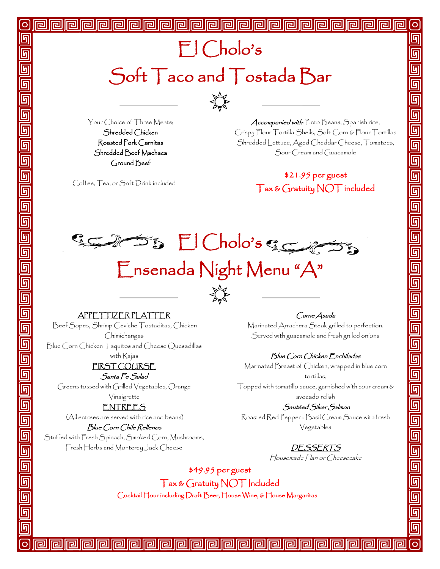$\sum_{k=1}^{N} \sum_{k=1}^{N}$ 

Your Choice of Three Meats; Shredded Chicken Roasted Pork Carnitas Shredded Beef Machaca Ground Beef

Coffee, Tea, or Soft Drink included

 Accompanied with: Pinto Beans, Spanish rice, Crispy Flour Tortilla Shells, Soft Corn & Flour Tortillas Shredded Lettuce, Aged Cheddar Cheese, Tomatoes, Sour Cream and Guacamole

回

回

**G** 

呵

回

<u>ர</u>

回

回

回

<u>দ</u>

**G** 

### \$21.95 per guest Tax & Gratuity NOT included

55 El Cholo's Serves

### Ensenada Night Menu "A"



#### APPETTIZER PLATTER

Beef Sopes, Shrimp Ceviche Tostaditas, Chicken Chimichangas

Blue Corn Chicken Taquitos and Cheese Quesadillas

with Rajas

#### FIRST COURSE Santa Fe Salad

Greens tossed with Grilled Vegetables, Orange Vinaigrette

#### ENTREES

(All entrees are served with rice and beans)

#### Blue Corn Chile Rellenos

Stuffed with Fresh Spinach, Smoked Corn, Mushrooms, Fresh Herbs and Monterey Jack Cheese

同

ral

#### Carne Asada

Marinated Arrachera Steak grilled to perfection. Served with guacamole and fresh grilled onions

#### Blue Corn Chicken Enchiladas

Marinated Breast of Chicken, wrapped in blue corn tortillas,

Topped with tomatillo sauce, garnished with sour cream & avocado relish

#### Sautéed Silver Salmon

Roasted Red Pepper - Basil Cream Sauce with fresh Vegetables

### DESSERTS

Housemade Flan or Cheesecake

\$49.95 per guest Tax & Gratuity NOT Included Cocktail Hour including Draft Beer, House Wine, & House Margaritas

اها اها اها

**Iral** 

lங

ral